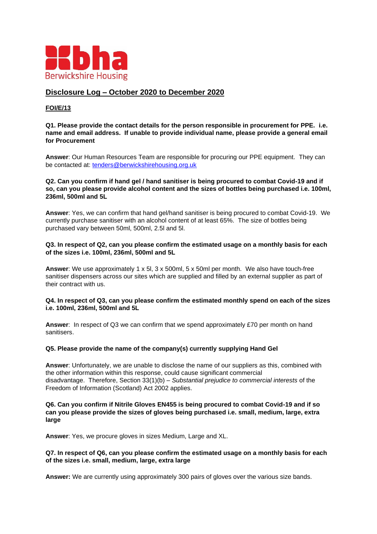

# **Disclosure Log – October 2020 to December 2020**

### **FOI/E/13**

**Q1. Please provide the contact details for the person responsible in procurement for PPE. i.e. name and email address. If unable to provide individual name, please provide a general email for Procurement**

**Answer**: Our Human Resources Team are responsible for procuring our PPE equipment. They can be contacted at: [tenders@berwickshirehousing.org.uk](mailto:tenders@berwickshirehousing.org.uk)

#### **Q2. Can you confirm if hand gel / hand sanitiser is being procured to combat Covid-19 and if so, can you please provide alcohol content and the sizes of bottles being purchased i.e. 100ml, 236ml, 500ml and 5L**

**Answer**: Yes, we can confirm that hand gel/hand sanitiser is being procured to combat Covid-19. We currently purchase sanitiser with an alcohol content of at least 65%. The size of bottles being purchased vary between 50ml, 500ml, 2.5l and 5l.

#### **Q3. In respect of Q2, can you please confirm the estimated usage on a monthly basis for each of the sizes i.e. 100ml, 236ml, 500ml and 5L**

**Answer**: We use approximately 1 x 5l, 3 x 500ml, 5 x 50ml per month. We also have touch-free sanitiser dispensers across our sites which are supplied and filled by an external supplier as part of their contract with us.

#### **Q4. In respect of Q3, can you please confirm the estimated monthly spend on each of the sizes i.e. 100ml, 236ml, 500ml and 5L**

**Answer**: In respect of Q3 we can confirm that we spend approximately £70 per month on hand sanitisers.

### **Q5. Please provide the name of the company(s) currently supplying Hand Gel**

**Answer**: Unfortunately, we are unable to disclose the name of our suppliers as this, combined with the other information within this response, could cause significant commercial disadvantage. Therefore, Section 33(1)(b) – *Substantial prejudice to commercial interests* of the Freedom of Information (Scotland) Act 2002 applies.

#### **Q6. Can you confirm if Nitrile Gloves EN455 is being procured to combat Covid-19 and if so can you please provide the sizes of gloves being purchased i.e. small, medium, large, extra large**

**Answer**: Yes, we procure gloves in sizes Medium, Large and XL.

#### **Q7. In respect of Q6, can you please confirm the estimated usage on a monthly basis for each of the sizes i.e. small, medium, large, extra large**

**Answer:** We are currently using approximately 300 pairs of gloves over the various size bands.